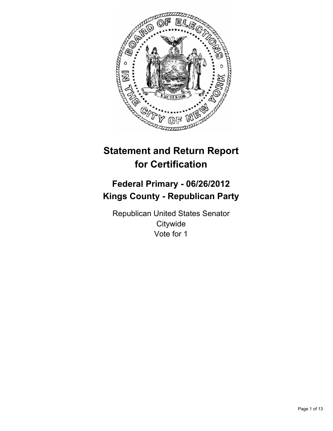

# **Statement and Return Report for Certification**

## **Federal Primary - 06/26/2012 Kings County - Republican Party**

Republican United States Senator **Citywide** Vote for 1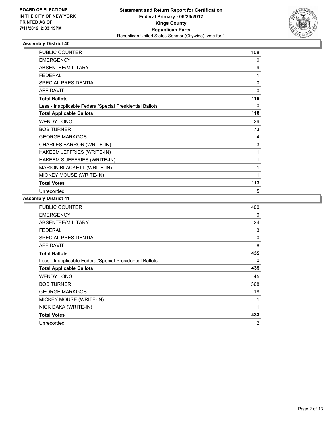

| <b>PUBLIC COUNTER</b>                                    | 108         |
|----------------------------------------------------------|-------------|
| <b>EMERGENCY</b>                                         | $\Omega$    |
| ABSENTEE/MILITARY                                        | 9           |
| <b>FEDERAL</b>                                           | 1           |
| SPECIAL PRESIDENTIAL                                     | $\mathbf 0$ |
| <b>AFFIDAVIT</b>                                         | $\Omega$    |
| <b>Total Ballots</b>                                     | 118         |
| Less - Inapplicable Federal/Special Presidential Ballots | 0           |
| <b>Total Applicable Ballots</b>                          | 118         |
| <b>WENDY LONG</b>                                        | 29          |
| <b>BOB TURNER</b>                                        | 73          |
| <b>GEORGE MARAGOS</b>                                    | 4           |
| CHARLES BARRON (WRITE-IN)                                | 3           |
| HAKEEM JEFFRIES (WRITE-IN)                               | 1           |
| HAKEEM S JEFFRIES (WRITE-IN)                             | 1           |
| MARION BLACKETT (WRITE-IN)                               | 1           |
| MIOKEY MOUSE (WRITE-IN)                                  | 1           |
| <b>Total Votes</b>                                       | 113         |
| Unrecorded                                               | 5           |

| <b>PUBLIC COUNTER</b>                                    | 400            |
|----------------------------------------------------------|----------------|
| <b>EMERGENCY</b>                                         | 0              |
| ABSENTEE/MILITARY                                        | 24             |
| <b>FEDERAL</b>                                           | 3              |
| <b>SPECIAL PRESIDENTIAL</b>                              | 0              |
| <b>AFFIDAVIT</b>                                         | 8              |
| <b>Total Ballots</b>                                     | 435            |
| Less - Inapplicable Federal/Special Presidential Ballots | 0              |
| <b>Total Applicable Ballots</b>                          | 435            |
| <b>WENDY LONG</b>                                        | 45             |
| <b>BOB TURNER</b>                                        | 368            |
| <b>GEORGE MARAGOS</b>                                    | 18             |
| MICKEY MOUSE (WRITE-IN)                                  | 1              |
| NICK DAKA (WRITE-IN)                                     | 1              |
| <b>Total Votes</b>                                       | 433            |
| Unrecorded                                               | $\overline{2}$ |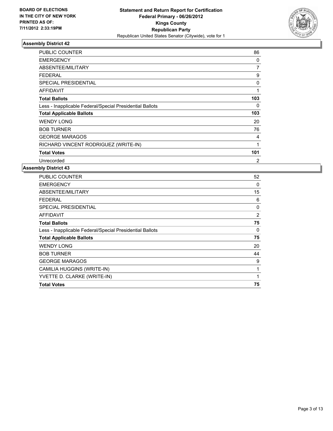

| <b>PUBLIC COUNTER</b>                                    | 86  |
|----------------------------------------------------------|-----|
| <b>EMERGENCY</b>                                         | 0   |
| ABSENTEE/MILITARY                                        | 7   |
| FEDERAL                                                  | 9   |
| <b>SPECIAL PRESIDENTIAL</b>                              | 0   |
| <b>AFFIDAVIT</b>                                         | 1   |
| <b>Total Ballots</b>                                     | 103 |
| Less - Inapplicable Federal/Special Presidential Ballots | 0   |
| <b>Total Applicable Ballots</b>                          | 103 |
| <b>WENDY LONG</b>                                        | 20  |
| <b>BOB TURNER</b>                                        | 76  |
| <b>GEORGE MARAGOS</b>                                    | 4   |
| RICHARD VINCENT RODRIGUEZ (WRITE-IN)                     | 1   |
| <b>Total Votes</b>                                       | 101 |
| Unrecorded                                               | 2   |

| <b>Total Votes</b>                                       | 75       |
|----------------------------------------------------------|----------|
| YVETTE D. CLARKE (WRITE-IN)                              | 1        |
| CAMILIA HUGGINS (WRITE-IN)                               | 1        |
| <b>GEORGE MARAGOS</b>                                    | 9        |
| <b>BOB TURNER</b>                                        | 44       |
| <b>WENDY LONG</b>                                        | 20       |
| <b>Total Applicable Ballots</b>                          | 75       |
| Less - Inapplicable Federal/Special Presidential Ballots | $\Omega$ |
| <b>Total Ballots</b>                                     | 75       |
| <b>AFFIDAVIT</b>                                         | 2        |
| <b>SPECIAL PRESIDENTIAL</b>                              | 0        |
| <b>FEDERAL</b>                                           | 6        |
| ABSENTEE/MILITARY                                        | 15       |
| <b>EMERGENCY</b>                                         | 0        |
| PUBLIC COUNTER                                           | 52       |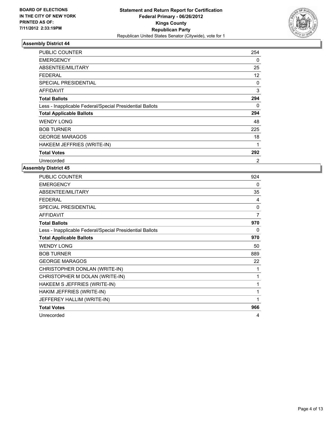

| <b>PUBLIC COUNTER</b>                                    | 254      |
|----------------------------------------------------------|----------|
| <b>EMERGENCY</b>                                         | 0        |
| ABSENTEE/MILITARY                                        | 25       |
| <b>FEDERAL</b>                                           | 12       |
| <b>SPECIAL PRESIDENTIAL</b>                              | $\Omega$ |
| <b>AFFIDAVIT</b>                                         | 3        |
| <b>Total Ballots</b>                                     | 294      |
| Less - Inapplicable Federal/Special Presidential Ballots | 0        |
| <b>Total Applicable Ballots</b>                          | 294      |
| <b>WENDY LONG</b>                                        | 48       |
| <b>BOB TURNER</b>                                        | 225      |
| <b>GEORGE MARAGOS</b>                                    | 18       |
| HAKEEM JEFFRIES (WRITE-IN)                               | 1        |
| <b>Total Votes</b>                                       | 292      |
| Unrecorded                                               | 2        |

| PUBLIC COUNTER                                           | 924          |
|----------------------------------------------------------|--------------|
| <b>EMERGENCY</b>                                         | 0            |
| ABSENTEE/MILITARY                                        | 35           |
| <b>FEDERAL</b>                                           | 4            |
| SPECIAL PRESIDENTIAL                                     | $\mathbf{0}$ |
| <b>AFFIDAVIT</b>                                         | 7            |
| <b>Total Ballots</b>                                     | 970          |
| Less - Inapplicable Federal/Special Presidential Ballots | $\Omega$     |
| <b>Total Applicable Ballots</b>                          | 970          |
| <b>WENDY LONG</b>                                        | 50           |
| <b>BOB TURNER</b>                                        | 889          |
| <b>GEORGE MARAGOS</b>                                    | 22           |
| CHRISTOPHER DONLAN (WRITE-IN)                            | 1            |
| CHRISTOPHER M DOLAN (WRITE-IN)                           | 1            |
| HAKEEM S JEFFRIES (WRITE-IN)                             | 1            |
| HAKIM JEFFRIES (WRITE-IN)                                | 1            |
| JEFFEREY HALLIM (WRITE-IN)                               | 1            |
| <b>Total Votes</b>                                       | 966          |
| Unrecorded                                               | 4            |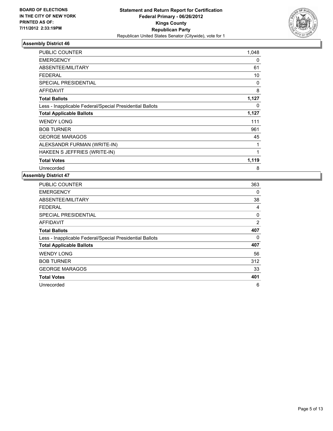

| <b>PUBLIC COUNTER</b>                                    | 1,048    |
|----------------------------------------------------------|----------|
| <b>EMERGENCY</b>                                         | 0        |
| ABSENTEE/MILITARY                                        | 61       |
| <b>FEDERAL</b>                                           | 10       |
| <b>SPECIAL PRESIDENTIAL</b>                              | 0        |
| <b>AFFIDAVIT</b>                                         | 8        |
| <b>Total Ballots</b>                                     | 1,127    |
| Less - Inapplicable Federal/Special Presidential Ballots | $\Omega$ |
|                                                          |          |
| <b>Total Applicable Ballots</b>                          | 1,127    |
| <b>WENDY LONG</b>                                        | 111      |
| <b>BOB TURNER</b>                                        | 961      |
| <b>GEORGE MARAGOS</b>                                    | 45       |
| ALEKSANDR FURMAN (WRITE-IN)                              | 1        |
| HAKEEN S JEFFRIES (WRITE-IN)                             | 1        |
| <b>Total Votes</b>                                       | 1,119    |

| <b>PUBLIC COUNTER</b>                                    | 363 |
|----------------------------------------------------------|-----|
| <b>EMERGENCY</b>                                         | 0   |
| ABSENTEE/MILITARY                                        | 38  |
| FEDERAL                                                  | 4   |
| SPECIAL PRESIDENTIAL                                     | 0   |
| <b>AFFIDAVIT</b>                                         | 2   |
| <b>Total Ballots</b>                                     | 407 |
| Less - Inapplicable Federal/Special Presidential Ballots | 0   |
| <b>Total Applicable Ballots</b>                          | 407 |
| <b>WENDY LONG</b>                                        | 56  |
| <b>BOB TURNER</b>                                        | 312 |
| <b>GEORGE MARAGOS</b>                                    | 33  |
| <b>Total Votes</b>                                       | 401 |
| Unrecorded                                               | 6   |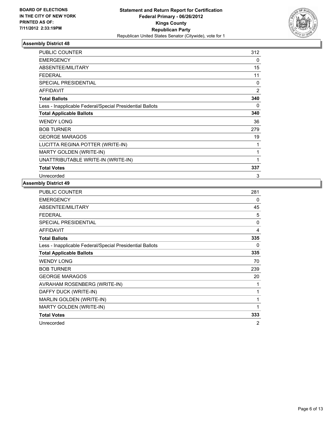

| <b>PUBLIC COUNTER</b>                                    | 312            |
|----------------------------------------------------------|----------------|
| <b>EMERGENCY</b>                                         | 0              |
| ABSENTEE/MILITARY                                        | 15             |
| <b>FEDERAL</b>                                           | 11             |
| <b>SPECIAL PRESIDENTIAL</b>                              | 0              |
| <b>AFFIDAVIT</b>                                         | $\overline{2}$ |
| <b>Total Ballots</b>                                     | 340            |
| Less - Inapplicable Federal/Special Presidential Ballots | 0              |
| <b>Total Applicable Ballots</b>                          | 340            |
| <b>WENDY LONG</b>                                        | 36             |
| <b>BOB TURNER</b>                                        | 279            |
| <b>GEORGE MARAGOS</b>                                    | 19             |
| LUCITTA REGINA POTTER (WRITE-IN)                         | 1              |
| <b>MARTY GOLDEN (WRITE-IN)</b>                           | 1              |
| UNATTRIBUTABLE WRITE-IN (WRITE-IN)                       | 1              |
| <b>Total Votes</b>                                       | 337            |
| Unrecorded                                               | 3              |

| <b>PUBLIC COUNTER</b>                                    | 281 |
|----------------------------------------------------------|-----|
| <b>EMERGENCY</b>                                         | 0   |
| ABSENTEE/MILITARY                                        | 45  |
| <b>FEDERAL</b>                                           | 5   |
| SPECIAL PRESIDENTIAL                                     | 0   |
| <b>AFFIDAVIT</b>                                         | 4   |
| <b>Total Ballots</b>                                     | 335 |
| Less - Inapplicable Federal/Special Presidential Ballots | 0   |
| <b>Total Applicable Ballots</b>                          | 335 |
| <b>WENDY LONG</b>                                        | 70  |
| <b>BOB TURNER</b>                                        | 239 |
| <b>GEORGE MARAGOS</b>                                    | 20  |
| AVRAHAM ROSENBERG (WRITE-IN)                             | 1   |
| DAFFY DUCK (WRITE-IN)                                    | 1   |
| MARLIN GOLDEN (WRITE-IN)                                 | 1   |
| MARTY GOLDEN (WRITE-IN)                                  | 1   |
| <b>Total Votes</b>                                       | 333 |
| Unrecorded                                               | 2   |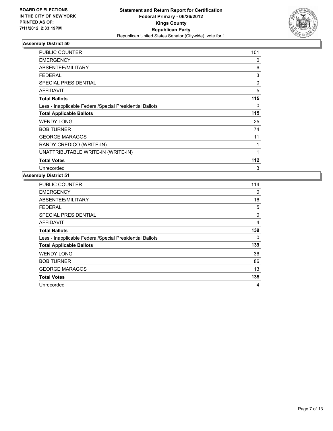

| <b>PUBLIC COUNTER</b>                                    | 101      |
|----------------------------------------------------------|----------|
| <b>EMERGENCY</b>                                         | 0        |
| ABSENTEE/MILITARY                                        | 6        |
| <b>FEDERAL</b>                                           | 3        |
| SPECIAL PRESIDENTIAL                                     | $\Omega$ |
| <b>AFFIDAVIT</b>                                         | 5        |
| <b>Total Ballots</b>                                     | 115      |
| Less - Inapplicable Federal/Special Presidential Ballots | 0        |
| <b>Total Applicable Ballots</b>                          | 115      |
| <b>WENDY LONG</b>                                        | 25       |
| <b>BOB TURNER</b>                                        | 74       |
| <b>GEORGE MARAGOS</b>                                    | 11       |
| RANDY CREDICO (WRITE-IN)                                 | 1        |
| UNATTRIBUTABLE WRITE-IN (WRITE-IN)                       | 1        |
| <b>Total Votes</b>                                       | 112      |
| Unrecorded                                               | 3        |

| <b>PUBLIC COUNTER</b>                                    | 114 |
|----------------------------------------------------------|-----|
| <b>EMERGENCY</b>                                         | 0   |
| ABSENTEE/MILITARY                                        | 16  |
| <b>FEDERAL</b>                                           | 5   |
| <b>SPECIAL PRESIDENTIAL</b>                              | 0   |
| <b>AFFIDAVIT</b>                                         | 4   |
| <b>Total Ballots</b>                                     | 139 |
| Less - Inapplicable Federal/Special Presidential Ballots | 0   |
| <b>Total Applicable Ballots</b>                          | 139 |
| <b>WENDY LONG</b>                                        | 36  |
| <b>BOB TURNER</b>                                        | 86  |
| <b>GEORGE MARAGOS</b>                                    | 13  |
| <b>Total Votes</b>                                       | 135 |
| Unrecorded                                               | 4   |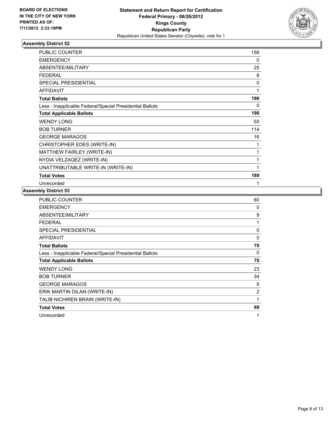

| <b>PUBLIC COUNTER</b>                                    | 156 |
|----------------------------------------------------------|-----|
| <b>EMERGENCY</b>                                         | 0   |
| ABSENTEE/MILITARY                                        | 25  |
| <b>FEDERAL</b>                                           | 8   |
| SPECIAL PRESIDENTIAL                                     | 0   |
| <b>AFFIDAVIT</b>                                         | 1   |
| <b>Total Ballots</b>                                     | 190 |
| Less - Inapplicable Federal/Special Presidential Ballots | 0   |
| <b>Total Applicable Ballots</b>                          | 190 |
| <b>WENDY LONG</b>                                        | 55  |
| <b>BOB TURNER</b>                                        | 114 |
| <b>GEORGE MARAGOS</b>                                    | 16  |
| CHRISTOPHER EDES (WRITE-IN)                              | 1   |
| MATTHEW FAIRLEY (WRITE-IN)                               | 1   |
| NYDIA VELZAQEZ (WRITE-IN)                                | 1   |
| UNATTRIBUTABLE WRITE-IN (WRITE-IN)                       | 1   |
| <b>Total Votes</b>                                       | 189 |
| Unrecorded                                               | 1   |

| <b>PUBLIC COUNTER</b>                                    | 60 |
|----------------------------------------------------------|----|
| <b>EMERGENCY</b>                                         | 0  |
| ABSENTEE/MILITARY                                        | 9  |
| <b>FEDERAL</b>                                           | 1  |
| <b>SPECIAL PRESIDENTIAL</b>                              | 0  |
| <b>AFFIDAVIT</b>                                         | 0  |
| <b>Total Ballots</b>                                     | 70 |
| Less - Inapplicable Federal/Special Presidential Ballots | 0  |
| <b>Total Applicable Ballots</b>                          | 70 |
| <b>WENDY LONG</b>                                        | 23 |
| <b>BOB TURNER</b>                                        | 34 |
| <b>GEORGE MARAGOS</b>                                    | 9  |
| ERIK MARTIN DILAN (WRITE-IN)                             | 2  |
| TALIB NICHIREN BRAIN (WRITE-IN)                          | 1  |
| <b>Total Votes</b>                                       | 69 |
| Unrecorded                                               | 1  |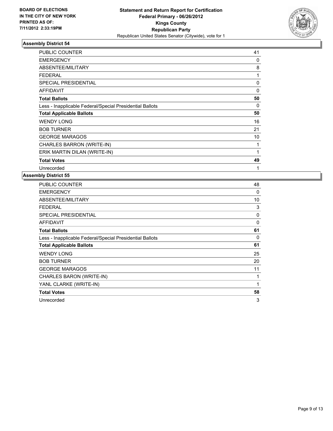

| <b>PUBLIC COUNTER</b>                                    | 41 |
|----------------------------------------------------------|----|
| <b>EMERGENCY</b>                                         | 0  |
| ABSENTEE/MILITARY                                        | 8  |
| <b>FEDERAL</b>                                           | 1  |
| <b>SPECIAL PRESIDENTIAL</b>                              | 0  |
| <b>AFFIDAVIT</b>                                         | 0  |
| <b>Total Ballots</b>                                     | 50 |
| Less - Inapplicable Federal/Special Presidential Ballots | 0  |
| <b>Total Applicable Ballots</b>                          | 50 |
| <b>WENDY LONG</b>                                        | 16 |
| <b>BOB TURNER</b>                                        | 21 |
| <b>GEORGE MARAGOS</b>                                    | 10 |
| CHARLES BARRON (WRITE-IN)                                | 1  |
| ERIK MARTIN DILAN (WRITE-IN)                             | 1  |
| <b>Total Votes</b>                                       | 49 |
| Unrecorded                                               | 1  |

| PUBLIC COUNTER                                           | 48 |
|----------------------------------------------------------|----|
| <b>EMERGENCY</b>                                         | 0  |
| ABSENTEE/MILITARY                                        | 10 |
| <b>FEDERAL</b>                                           | 3  |
| <b>SPECIAL PRESIDENTIAL</b>                              | 0  |
| AFFIDAVIT                                                | 0  |
| <b>Total Ballots</b>                                     | 61 |
| Less - Inapplicable Federal/Special Presidential Ballots | 0  |
| <b>Total Applicable Ballots</b>                          | 61 |
| <b>WENDY LONG</b>                                        | 25 |
| <b>BOB TURNER</b>                                        | 20 |
| <b>GEORGE MARAGOS</b>                                    | 11 |
|                                                          |    |
| CHARLES BARON (WRITE-IN)                                 | 1  |
| YANL CLARKE (WRITE-IN)                                   | 1  |
| <b>Total Votes</b>                                       | 58 |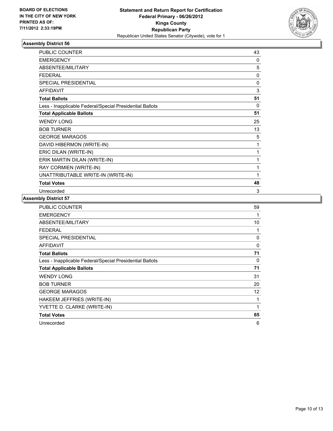

| PUBLIC COUNTER                                           | 43       |
|----------------------------------------------------------|----------|
| <b>EMERGENCY</b>                                         | $\Omega$ |
| ABSENTEE/MILITARY                                        | 5        |
| <b>FEDERAL</b>                                           | 0        |
| SPECIAL PRESIDENTIAL                                     | 0        |
| <b>AFFIDAVIT</b>                                         | 3        |
| <b>Total Ballots</b>                                     | 51       |
| Less - Inapplicable Federal/Special Presidential Ballots | 0        |
| <b>Total Applicable Ballots</b>                          | 51       |
| <b>WENDY LONG</b>                                        | 25       |
| <b>BOB TURNER</b>                                        | 13       |
| <b>GEORGE MARAGOS</b>                                    | 5        |
| DAVID HIBERMON (WRITE-IN)                                | 1        |
| ERIC DILAN (WRITE-IN)                                    | 1        |
| ERIK MARTIN DILAN (WRITE-IN)                             | 1        |
| RAY CORMIEN (WRITE-IN)                                   | 1        |
| UNATTRIBUTABLE WRITE-IN (WRITE-IN)                       | 1        |
| <b>Total Votes</b>                                       | 48       |
| Unrecorded                                               | 3        |

| <b>PUBLIC COUNTER</b>                                    | 59          |
|----------------------------------------------------------|-------------|
| <b>EMERGENCY</b>                                         | 1           |
| ABSENTEE/MILITARY                                        | 10          |
| <b>FEDERAL</b>                                           | 1           |
| <b>SPECIAL PRESIDENTIAL</b>                              | 0           |
| <b>AFFIDAVIT</b>                                         | 0           |
| <b>Total Ballots</b>                                     | 71          |
| Less - Inapplicable Federal/Special Presidential Ballots | $\mathbf 0$ |
| <b>Total Applicable Ballots</b>                          | 71          |
| <b>WENDY LONG</b>                                        | 31          |
| <b>BOB TURNER</b>                                        | 20          |
| <b>GEORGE MARAGOS</b>                                    | 12          |
| HAKEEM JEFFRIES (WRITE-IN)                               | 1           |
| YVETTE D. CLARKE (WRITE-IN)                              | 1           |
| <b>Total Votes</b>                                       | 65          |
| Unrecorded                                               | 6           |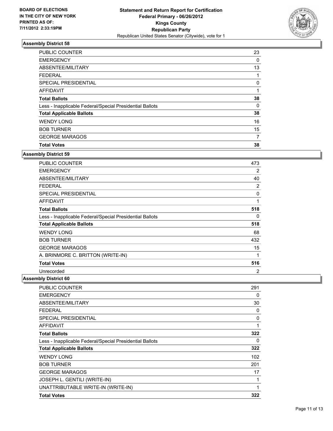

| <b>PUBLIC COUNTER</b>                                    | 23       |
|----------------------------------------------------------|----------|
| <b>EMERGENCY</b>                                         | 0        |
| ABSENTEE/MILITARY                                        | 13       |
| <b>FEDERAL</b>                                           |          |
| SPECIAL PRESIDENTIAL                                     | 0        |
| <b>AFFIDAVIT</b>                                         |          |
| <b>Total Ballots</b>                                     | 38       |
| Less - Inapplicable Federal/Special Presidential Ballots | $\Omega$ |
| <b>Total Applicable Ballots</b>                          | 38       |
| <b>WENDY LONG</b>                                        | 16       |
| <b>BOB TURNER</b>                                        | 15       |
| <b>GEORGE MARAGOS</b>                                    | 7        |
| <b>Total Votes</b>                                       | 38       |

#### **Assembly District 59**

| PUBLIC COUNTER                                           | 473 |
|----------------------------------------------------------|-----|
| <b>EMERGENCY</b>                                         | 2   |
| ABSENTEE/MILITARY                                        | 40  |
| <b>FEDERAL</b>                                           | 2   |
| <b>SPECIAL PRESIDENTIAL</b>                              | 0   |
| <b>AFFIDAVIT</b>                                         | 1   |
| <b>Total Ballots</b>                                     | 518 |
| Less - Inapplicable Federal/Special Presidential Ballots | 0   |
| <b>Total Applicable Ballots</b>                          | 518 |
| <b>WENDY LONG</b>                                        | 68  |
| <b>BOB TURNER</b>                                        | 432 |
| <b>GEORGE MARAGOS</b>                                    | 15  |
| A. BRINMORE C. BRITTON (WRITE-IN)                        | 1   |
| <b>Total Votes</b>                                       | 516 |
| Unrecorded                                               | 2   |

| PUBLIC COUNTER                                           | 291 |
|----------------------------------------------------------|-----|
| <b>EMERGENCY</b>                                         | 0   |
| ABSENTEE/MILITARY                                        | 30  |
| FEDERAL                                                  | 0   |
| <b>SPECIAL PRESIDENTIAL</b>                              | 0   |
| <b>AFFIDAVIT</b>                                         | 1   |
| <b>Total Ballots</b>                                     | 322 |
| Less - Inapplicable Federal/Special Presidential Ballots | 0   |
| <b>Total Applicable Ballots</b>                          | 322 |
| <b>WENDY LONG</b>                                        | 102 |
| <b>BOB TURNER</b>                                        | 201 |
| <b>GEORGE MARAGOS</b>                                    | 17  |
| JOSEPH L. GENTILI (WRITE-IN)                             | 1   |
| UNATTRIBUTABLE WRITE-IN (WRITE-IN)                       | 1   |
| <b>Total Votes</b>                                       | 322 |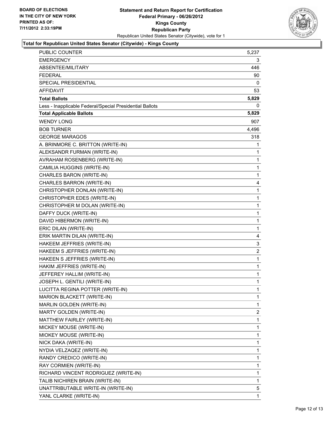

## **Total for Republican United States Senator (Citywide) - Kings County**

| PUBLIC COUNTER                                           | 5,237          |
|----------------------------------------------------------|----------------|
| <b>EMERGENCY</b>                                         | 3              |
| ABSENTEE/MILITARY                                        | 446            |
| <b>FEDERAL</b>                                           | 90             |
| SPECIAL PRESIDENTIAL                                     | 0              |
| <b>AFFIDAVIT</b>                                         | 53             |
| <b>Total Ballots</b>                                     | 5,829          |
| Less - Inapplicable Federal/Special Presidential Ballots | 0              |
| <b>Total Applicable Ballots</b>                          | 5,829          |
| <b>WENDY LONG</b>                                        | 907            |
| <b>BOB TURNER</b>                                        | 4,496          |
| <b>GEORGE MARAGOS</b>                                    | 318            |
| A. BRINMORE C. BRITTON (WRITE-IN)                        | 1              |
| ALEKSANDR FURMAN (WRITE-IN)                              | 1              |
| AVRAHAM ROSENBERG (WRITE-IN)                             | $\mathbf{1}$   |
| CAMILIA HUGGINS (WRITE-IN)                               | 1              |
| CHARLES BARON (WRITE-IN)                                 | 1              |
| CHARLES BARRON (WRITE-IN)                                | 4              |
| CHRISTOPHER DONLAN (WRITE-IN)                            | 1              |
| CHRISTOPHER EDES (WRITE-IN)                              | 1              |
| CHRISTOPHER M DOLAN (WRITE-IN)                           | 1              |
| DAFFY DUCK (WRITE-IN)                                    | 1              |
| DAVID HIBERMON (WRITE-IN)                                | 1              |
| ERIC DILAN (WRITE-IN)                                    | 1              |
| ERIK MARTIN DILAN (WRITE-IN)                             | 4              |
| HAKEEM JEFFRIES (WRITE-IN)                               | 3              |
| HAKEEM S JEFFRIES (WRITE-IN)                             | 2              |
| HAKEEN S JEFFRIES (WRITE-IN)                             | 1              |
| HAKIM JEFFRIES (WRITE-IN)                                | 1              |
| JEFFEREY HALLIM (WRITE-IN)                               | 1              |
| JOSEPH L. GENTILI (WRITE-IN)                             | 1              |
| LUCITTA REGINA POTTER (WRITE-IN)                         | 1              |
| MARION BLACKETT (WRITE-IN)                               | 1              |
| MARLIN GOLDEN (WRITE-IN)                                 | 1              |
| MARTY GOLDEN (WRITE-IN)                                  | $\overline{c}$ |
| MATTHEW FAIRLEY (WRITE-IN)                               | 1              |
| MICKEY MOUSE (WRITE-IN)                                  | 1              |
| MIOKEY MOUSE (WRITE-IN)                                  | 1              |
| NICK DAKA (WRITE-IN)                                     | 1              |
| NYDIA VELZAQEZ (WRITE-IN)                                | 1              |
| RANDY CREDICO (WRITE-IN)                                 | 1              |
| RAY CORMIEN (WRITE-IN)                                   | 1              |
| RICHARD VINCENT RODRIGUEZ (WRITE-IN)                     | 1              |
| TALIB NICHIREN BRAIN (WRITE-IN)                          | 1              |
| UNATTRIBUTABLE WRITE-IN (WRITE-IN)                       | 5              |
| YANL CLARKE (WRITE-IN)                                   | 1              |
|                                                          |                |